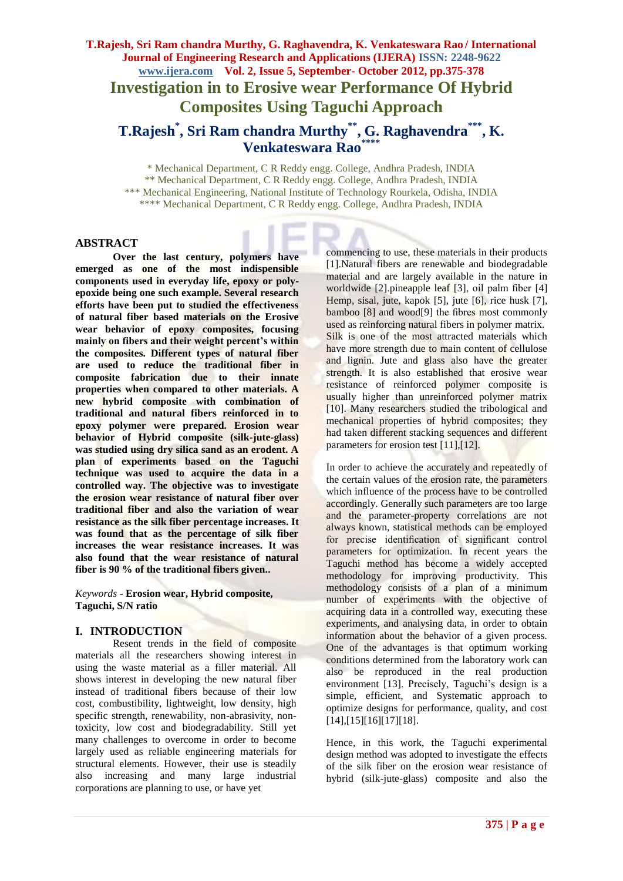# **T.Rajesh, Sri Ram chandra Murthy, G. Raghavendra, K. Venkateswara Rao / International Journal of Engineering Research and Applications (IJERA) ISSN: 2248-9622 www.ijera.com Vol. 2, Issue 5, September- October 2012, pp.375-378 Investigation in to Erosive wear Performance Of Hybrid Composites Using Taguchi Approach T.Rajesh\* , Sri Ram chandra Murthy\*\*, G. Raghavendra\*\*\* , K. Venkateswara Rao\*\*\*\***

\* Mechanical Department, C R Reddy engg. College, Andhra Pradesh, INDIA \*\* Mechanical Department, C R Reddy engg. College, Andhra Pradesh, INDIA \*\*\* Mechanical Engineering, National Institute of Technology Rourkela, Odisha, INDIA \*\*\*\* Mechanical Department, C R Reddy engg. College, Andhra Pradesh, INDIA

## **ABSTRACT**

**Over the last century, polymers have emerged as one of the most indispensible components used in everyday life, epoxy or polyepoxide being one such example. Several research efforts have been put to studied the effectiveness of natural fiber based materials on the Erosive wear behavior of epoxy composites, focusing mainly on fibers and their weight percent's within the composites. Different types of natural fiber are used to reduce the traditional fiber in composite fabrication due to their innate properties when compared to other materials. A new hybrid composite with combination of traditional and natural fibers reinforced in to epoxy polymer were prepared. Erosion wear behavior of Hybrid composite (silk-jute-glass) was studied using dry silica sand as an erodent. A plan of experiments based on the Taguchi technique was used to acquire the data in a controlled way. The objective was to investigate the erosion wear resistance of natural fiber over traditional fiber and also the variation of wear resistance as the silk fiber percentage increases. It was found that as the percentage of silk fiber increases the wear resistance increases. It was also found that the wear resistance of natural fiber is 90 % of the traditional fibers given..**

*Keywords* **- Erosion wear, Hybrid composite, Taguchi, S/N ratio**

#### **I. INTRODUCTION**

Resent trends in the field of composite materials all the researchers showing interest in using the waste material as a filler material. All shows interest in developing the new natural fiber instead of traditional fibers because of their low cost, combustibility, lightweight, low density, high specific strength, renewability, non-abrasivity, nontoxicity, low cost and biodegradability. Still yet many challenges to overcome in order to become largely used as reliable engineering materials for structural elements. However, their use is steadily also increasing and many large industrial corporations are planning to use, or have yet

commencing to use, these materials in their products [1].Natural fibers are renewable and biodegradable material and are largely available in the nature in worldwide [2].pineapple leaf [3], oil palm fiber [4] Hemp, sisal, jute, kapok [5], jute [6], rice husk [7], bamboo [8] and wood[9] the fibres most commonly used as reinforcing natural fibers in polymer matrix. Silk is one of the most attracted materials which have more strength due to main content of cellulose and lignin. Jute and glass also have the greater strength. It is also established that erosive wear resistance of reinforced polymer composite is usually higher than unreinforced polymer matrix [10]. Many researchers studied the tribological and mechanical properties of hybrid composites; they had taken different stacking sequences and different parameters for erosion test [11],[12].

In order to achieve the accurately and repeatedly of the certain values of the erosion rate, the parameters which influence of the process have to be controlled accordingly. Generally such parameters are too large and the parameter-property correlations are not always known, statistical methods can be employed for precise identification of significant control parameters for optimization. In recent years the Taguchi method has become a widely accepted methodology for improving productivity. This methodology consists of a plan of a minimum number of experiments with the objective of acquiring data in a controlled way, executing these experiments, and analysing data, in order to obtain information about the behavior of a given process. One of the advantages is that optimum working conditions determined from the laboratory work can also be reproduced in the real production environment [13]. Precisely, Taguchi's design is a simple, efficient, and Systematic approach to optimize designs for performance, quality, and cost [14],[15][16][17][18].

Hence, in this work, the Taguchi experimental design method was adopted to investigate the effects of the silk fiber on the erosion wear resistance of hybrid (silk-jute-glass) composite and also the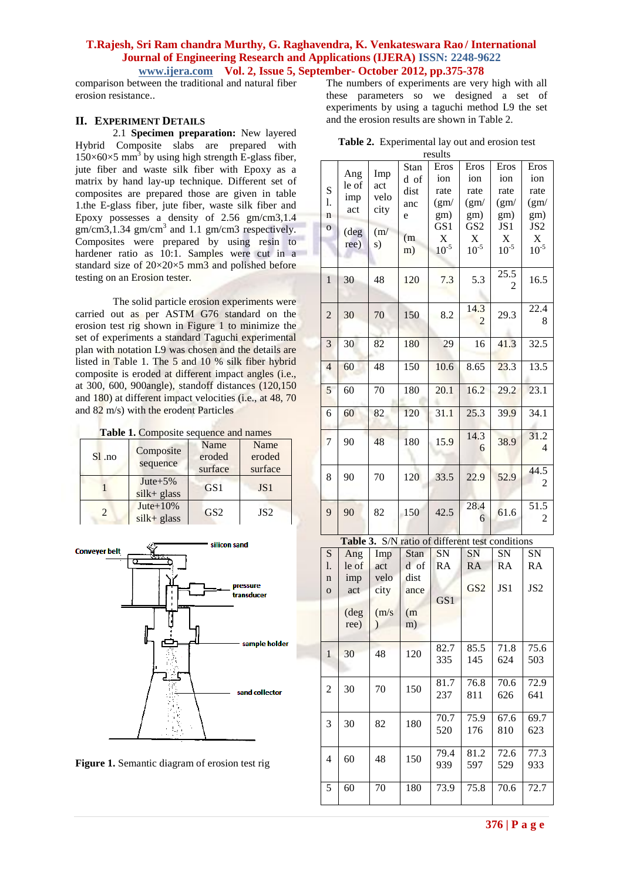## **T.Rajesh, Sri Ram chandra Murthy, G. Raghavendra, K. Venkateswara Rao / International Journal of Engineering Research and Applications (IJERA) ISSN: 2248-9622 www.ijera.com Vol. 2, Issue 5, September- October 2012, pp.375-378**

comparison between the traditional and natural fiber erosion resistance..

## **II. EXPERIMENT DETAILS**

2.1 **Specimen preparation:** New layered Hybrid Composite slabs are prepared with  $150\times60\times5$  mm<sup>3</sup> by using high strength E-glass fiber, jute fiber and waste silk fiber with Epoxy as a matrix by hand lay-up technique. Different set of composites are prepared those are given in table 1.the E-glass fiber, jute fiber, waste silk fiber and Epoxy possesses a density of 2.56 gm/cm3,1.4  $gm/cm3,1.34$   $gm/cm<sup>3</sup>$  and 1.1  $gm/cm3$  respectively. Composites were prepared by using resin to hardener ratio as 10:1. Samples were cut in a standard size of  $20 \times 20 \times 5$  mm<sub>3</sub> and polished before testing on an Erosion tester.

 The solid particle erosion experiments were carried out as per ASTM G76 standard on the erosion test rig shown in Figure 1 to minimize the set of experiments a standard Taguchi experimental plan with notation L9 was chosen and the details are listed in Table 1. The 5 and 10 % silk fiber hybrid composite is eroded at different impact angles (i.e., at 300, 600, 900angle), standoff distances (120,150 and 180) at different impact velocities (i.e., at 48, 70 and 82 m/s) with the erodent Particles

| Table 1. Composite sequence and names |  |  |  |
|---------------------------------------|--|--|--|
|---------------------------------------|--|--|--|

| $SI$ .no      | Composite<br>sequence          | Name<br>eroded<br>surface | Name<br>eroded<br>surface |  |
|---------------|--------------------------------|---------------------------|---------------------------|--|
|               | Jute $+5\%$<br>$silk + glass$  | GS <sub>1</sub>           | JS <sub>1</sub>           |  |
| $\mathcal{D}$ | Jute $+10\%$<br>$silk + glass$ | GS <sub>2</sub>           | JS <sub>2</sub>           |  |



**Figure 1.** Semantic diagram of erosion test rig

The numbers of experiments are very high with all these parameters so we designed a set of experiments by using a taguchi method L9 the set and the erosion results are shown in Table 2.

| Table 2. Experimental lay out and erosion test |
|------------------------------------------------|
|                                                |

| results        |       |         |      |           |                 |                                                 |                 |
|----------------|-------|---------|------|-----------|-----------------|-------------------------------------------------|-----------------|
|                |       |         | Stan | Eros      | Eros            | Eros                                            | Eros            |
|                | Ang   | Imp     | d of | ion       | ion             | ion                                             | ion             |
| S              | le of | act     | dist | rate      | rate            | rate                                            | rate            |
| 1.             | imp   | velo    | anc  | (gm)      | (gm)            | (gm)                                            | (gm)            |
|                | act   | city    |      |           |                 |                                                 |                 |
| n              |       |         | e    | gm)       | gm)             | gm)                                             | gm)             |
| $\overline{O}$ | (deg  | (m/     |      | GS1       | GS <sub>2</sub> | JS1                                             | JS <sub>2</sub> |
|                | ree)  | s)      | (m)  | X         | X               | X                                               | X               |
|                |       |         | m)   | $10^{-5}$ | $10^{-5}$       | $10^{-5}$                                       | $10^{-5}$       |
|                |       |         |      |           |                 |                                                 |                 |
|                |       |         |      |           |                 | 25.5                                            |                 |
| $\mathbf{1}$   | 30    | 48      | 120  | 7.3       | 5.3             | 2                                               | 16.5            |
|                |       |         |      |           |                 |                                                 |                 |
|                |       |         |      |           | 14.3            |                                                 | 22.4            |
| $\overline{2}$ | 30    | 70      | 150  | 8.2       | $\mathfrak{D}$  | 29.3                                            | 8               |
|                |       |         |      |           |                 |                                                 |                 |
|                |       |         |      |           |                 |                                                 |                 |
| 3              | 30    | 82      | 180  | 29        | 16              | 41.3                                            | 32.5            |
|                |       |         |      |           |                 |                                                 |                 |
| $\overline{4}$ | 60    | 48      | 150  | 10.6      | 8.65            | 23.3                                            | 13.5            |
|                |       |         |      |           |                 |                                                 |                 |
| 5              | 60    | 70      | 180  | 20.1      | 16.2            | 29.2                                            | 23.1            |
|                |       |         |      |           |                 |                                                 |                 |
| 6              | 60    | 82      | 120  | 31.1      | 25.3            | 39.9                                            | 34.1            |
|                |       |         |      |           |                 |                                                 |                 |
|                |       |         |      |           | 14.3            |                                                 | 31.2            |
| 7              | 90    | 48      | 180  | 15.9      |                 | 38.9                                            |                 |
|                |       |         |      |           | 6               |                                                 | 4               |
|                |       |         |      |           |                 |                                                 |                 |
| 8              | 90    | 70      | 120  | 33.5      | 22.9            | 52.9                                            | 44.5            |
|                |       |         |      |           |                 |                                                 | 2               |
|                |       |         |      |           |                 |                                                 |                 |
|                |       |         |      |           | 28.4            |                                                 | 51.5            |
| 9              | 90    | 82      | 150  | 42.5      | 6               | 61.6                                            | 2               |
|                |       |         |      |           |                 |                                                 |                 |
|                |       |         |      |           |                 | Table 3. S/N ratio of different test conditions |                 |
| S              |       |         | Stan | <b>SN</b> | SΝ              | SΝ                                              | SN              |
|                | Ang   | Imp     |      |           |                 |                                                 |                 |
| 1.             | le of | act     | d of | <b>RA</b> | <b>RA</b>       | <b>RA</b>                                       | RA              |
| $\mathbf n$    | imp   | velo    | dist |           |                 |                                                 |                 |
| $\overline{O}$ | act   | city    | ance |           | GS <sub>2</sub> | JS1                                             | JS <sub>2</sub> |
|                |       |         |      | GS1       |                 |                                                 |                 |
|                | (deg  | (m/s)   | (m)  |           |                 |                                                 |                 |
|                | ree)  | $\big)$ | m)   |           |                 |                                                 |                 |
|                |       |         |      |           |                 |                                                 |                 |
|                |       |         |      | 82.7      | 85.5            | 71.8                                            | 75.6            |
| $\mathbf{1}$   | 30    | 48      | 120  | 335       | 145             | 624                                             | 503             |
|                |       |         |      |           |                 |                                                 |                 |
|                |       |         |      |           |                 |                                                 |                 |
|                |       |         |      |           |                 |                                                 |                 |
|                |       |         |      | 81.7      | 76.8            | 70.6                                            | 72.9            |
| $\overline{c}$ | 30    | 70      | 150  | 237       | 811             | 626                                             | 641             |
|                |       |         |      |           |                 |                                                 |                 |
|                |       |         |      | 70.7      | 75.9            | 67.6                                            | 69.7            |
| 3              | 30    | 82      | 180  | 520       | 176             | 810                                             |                 |
|                |       |         |      |           |                 |                                                 | 623             |
|                |       |         |      |           |                 |                                                 |                 |
| 4              | 60    | 48      | 150  | 79.4      | 81.2            | 72.6                                            | 77.3            |
|                |       |         |      | 939       | 597             | 529                                             | 933             |
|                |       |         |      |           |                 |                                                 |                 |
| 5              | 60    | 70      | 180  | 73.9      | 75.8            | 70.6                                            | 72.7            |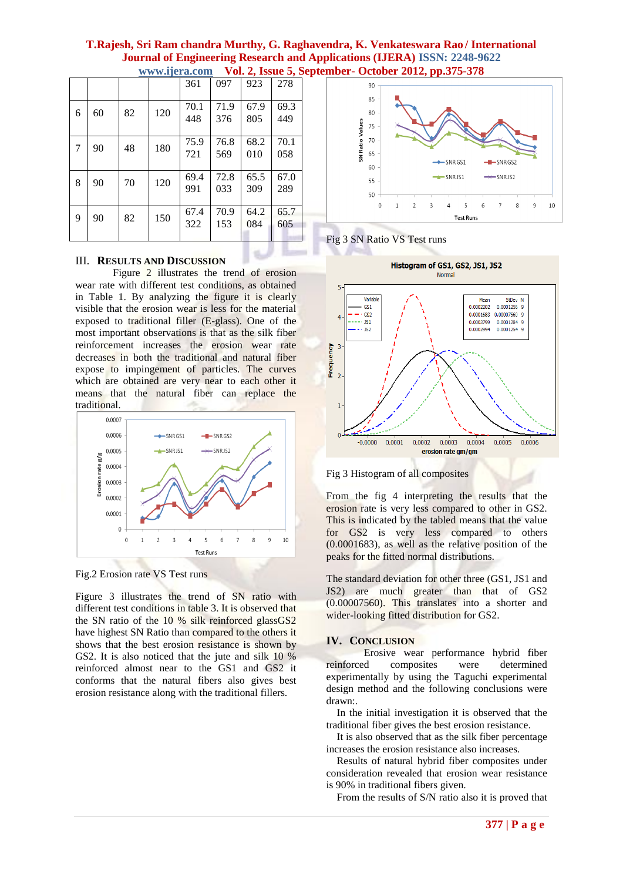|   |    |    |     | 361         | 097         | 923         | 278         |
|---|----|----|-----|-------------|-------------|-------------|-------------|
| 6 | 60 | 82 | 120 | 70.1<br>448 | 71.9<br>376 | 67.9<br>805 | 69.3<br>449 |
| 7 | 90 | 48 | 180 | 75.9<br>721 | 76.8<br>569 | 68.2<br>010 | 70.1<br>058 |
| 8 | 90 | 70 | 120 | 69.4<br>991 | 72.8<br>033 | 65.5<br>309 | 67.0<br>289 |
| 9 | 90 | 82 | 150 | 67.4<br>322 | 70.9<br>153 | 64.2<br>084 | 65.7<br>605 |

**T.Rajesh, Sri Ram chandra Murthy, G. Raghavendra, K. Venkateswara Rao / International Journal of Engineering Research and Applications (IJERA) ISSN: 2248-9622 www.ijera.com Vol. 2, Issue 5, September- October 2012, pp.375-378**

#### III. **RESULTS AND DISCUSSION**

Figure 2 illustrates the trend of erosion wear rate with different test conditions, as obtained in Table 1. By analyzing the figure it is clearly visible that the erosion wear is less for the material exposed to traditional filler (E-glass). One of the most important observations is that as the silk fiber reinforcement increases the erosion wear rate decreases in both the traditional and natural fiber expose to impingement of particles. The curves which are obtained are very near to each other it means that the natural fiber can replace the traditional.



Fig.2 Erosion rate VS Test runs

Figure 3 illustrates the trend of SN ratio with different test conditions in table 3. It is observed that the SN ratio of the 10 % silk reinforced glassGS2 have highest SN Ratio than compared to the others it shows that the best erosion resistance is shown by GS2. It is also noticed that the jute and silk 10 % reinforced almost near to the GS1 and GS2 it conforms that the natural fibers also gives best erosion resistance along with the traditional fillers.



Fig 3 SN Ratio VS Test runs



Fig 3 Histogram of all composites

From the fig 4 interpreting the results that the erosion rate is very less compared to other in GS2. This is indicated by the tabled means that the value for GS2 is very less compared to others (0.0001683), as well as the relative position of the peaks for the fitted normal distributions.

The standard deviation for other three (GS1, JS1 and JS2) are much greater than that of GS2 (0.00007560). This translates into a shorter and wider-looking fitted distribution for GS2.

## **IV. CONCLUSION**

Erosive wear performance hybrid fiber reinforced composites were determined experimentally by using the Taguchi experimental design method and the following conclusions were drawn:.

In the initial investigation it is observed that the traditional fiber gives the best erosion resistance.

It is also observed that as the silk fiber percentage increases the erosion resistance also increases.

Results of natural hybrid fiber composites under consideration revealed that erosion wear resistance is 90% in traditional fibers given.

From the results of S/N ratio also it is proved that